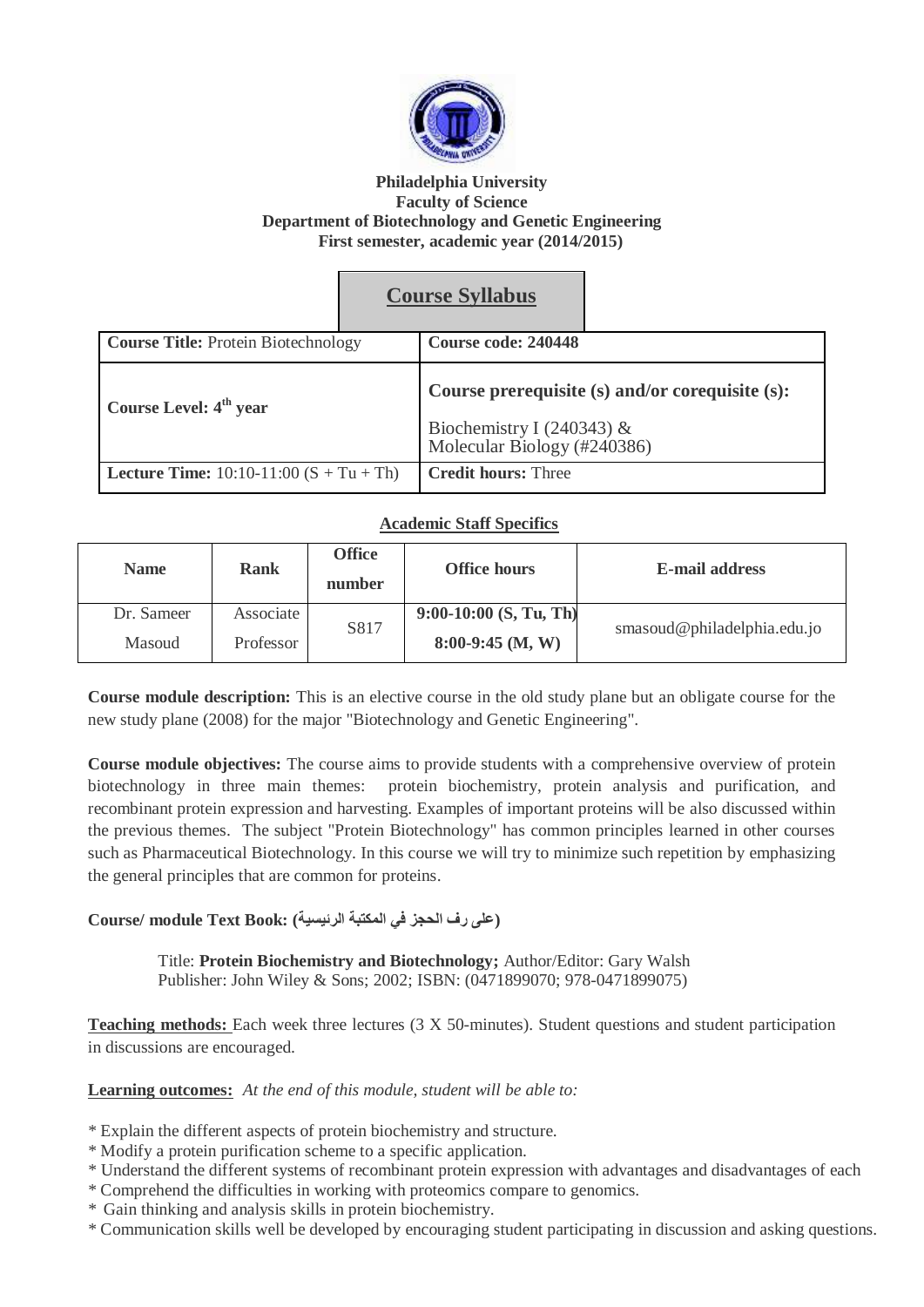

#### **Philadelphia University Faculty of Science Department of Biotechnology and Genetic Engineering First semester, academic year (2014/2015)**

# **Course Syllabus**

| <b>Course Title: Protein Biotechnology</b>       | Course code: 240448                                                                                      |
|--------------------------------------------------|----------------------------------------------------------------------------------------------------------|
| Course Level: 4 <sup>th</sup> year               | Course prerequisite (s) and/or corequisite (s):<br>Biochemistry I (240343) & Molecular Biology (#240386) |
| <b>Lecture Time:</b> $10:10-11:00$ (S + Tu + Th) | <b>Credit hours: Three</b>                                                                               |

## **Academic Staff Specifics**

| <b>Name</b> | <b>Rank</b> | <b>Office</b><br>number | <b>Office hours</b>      | <b>E-mail address</b>       |
|-------------|-------------|-------------------------|--------------------------|-----------------------------|
| Dr. Sameer  | Associate   | S817                    | $9:00-10:00$ (S, Tu, Th) |                             |
| Masoud      | Professor   |                         | $8:00-9:45$ (M, W)       | smasoud@philadelphia.edu.jo |

**Course module description:** This is an elective course in the old study plane but an obligate course for the new study plane (2008) for the major "Biotechnology and Genetic Engineering".

**Course module objectives:** The course aims to provide students with a comprehensive overview of protein biotechnology in three main themes: protein biochemistry, protein analysis and purification, and recombinant protein expression and harvesting. Examples of important proteins will be also discussed within the previous themes. The subject "Protein Biotechnology" has common principles learned in other courses such as Pharmaceutical Biotechnology. In this course we will try to minimize such repetition by emphasizing the general principles that are common for proteins.

### **(على رف الحجز في المكتبة الرئيسية) :Book Text module /Course**

Title: **Protein Biochemistry and Biotechnology;** Author/Editor: Gary Walsh Publisher: John Wiley & Sons; 2002; ISBN: (0471899070; 978-0471899075)

**Teaching methods:** Each week three lectures (3 X 50-minutes). Student questions and student participation in discussions are encouraged.

**Learning outcomes:** *At the end of this module, student will be able to:*

- \* Explain the different aspects of protein biochemistry and structure.
- \* Modify a protein purification scheme to a specific application.
- \* Understand the different systems of recombinant protein expression with advantages and disadvantages of each
- \* Comprehend the difficulties in working with proteomics compare to genomics.
- \* Gain thinking and analysis skills in protein biochemistry.
- \* Communication skills well be developed by encouraging student participating in discussion and asking questions.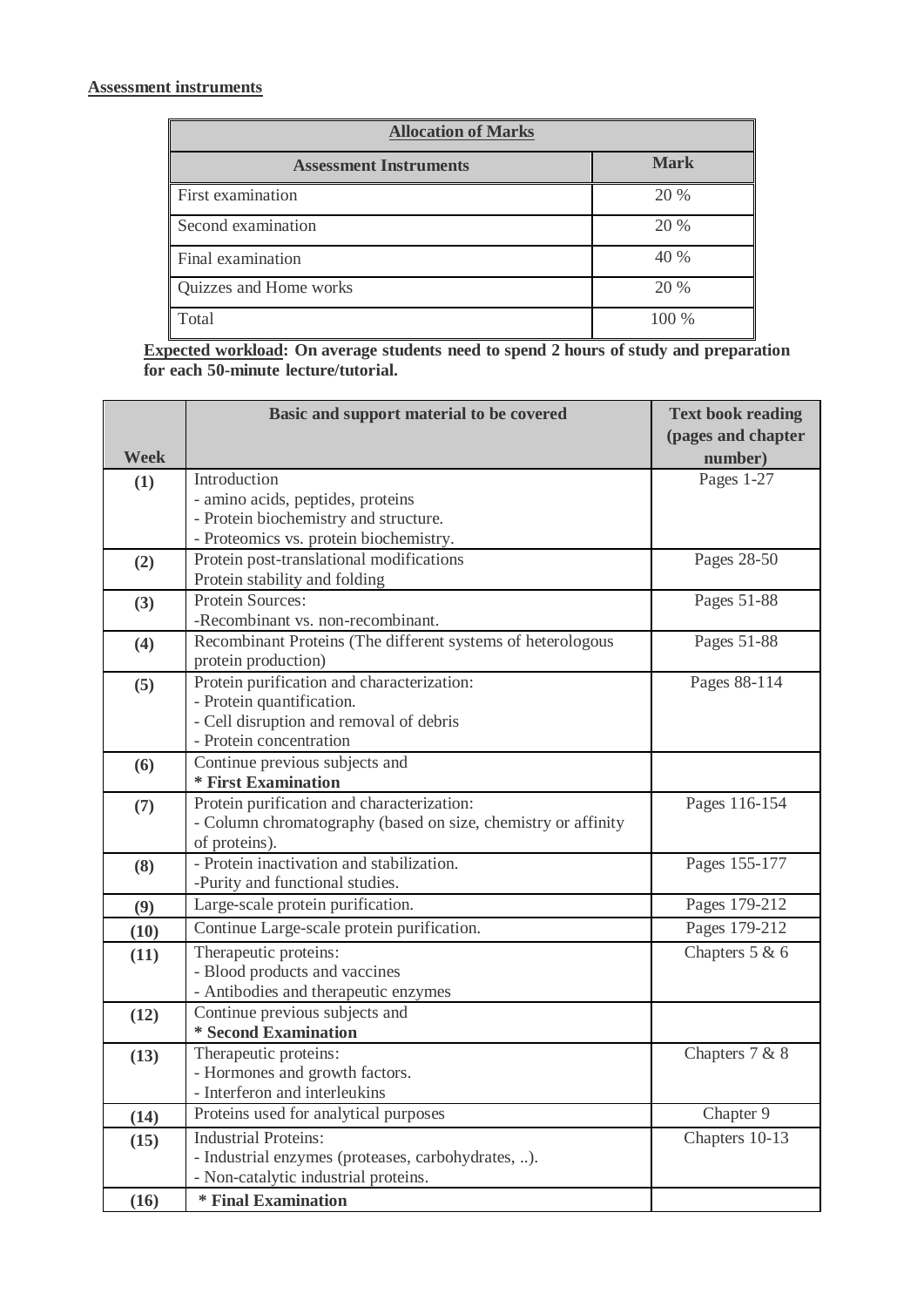## **Assessment instruments**

| <b>Allocation of Marks</b>    |             |  |  |  |
|-------------------------------|-------------|--|--|--|
| <b>Assessment Instruments</b> | <b>Mark</b> |  |  |  |
| First examination             | 20 %        |  |  |  |
| Second examination            | 20 %        |  |  |  |
| Final examination             | 40 %        |  |  |  |
| Quizzes and Home works        | 20 %        |  |  |  |
| Total                         | 100 %       |  |  |  |

**Expected workload: On average students need to spend 2 hours of study and preparation for each 50-minute lecture/tutorial.**

|      | Basic and support material to be covered                           | <b>Text book reading</b> |
|------|--------------------------------------------------------------------|--------------------------|
|      |                                                                    | (pages and chapter       |
| Week |                                                                    | number)                  |
| (1)  | Introduction                                                       | Pages 1-27               |
|      | - amino acids, peptides, proteins                                  |                          |
|      | - Protein biochemistry and structure.                              |                          |
|      | - Proteomics vs. protein biochemistry.                             |                          |
| (2)  | Protein post-translational modifications                           | Pages 28-50              |
|      | Protein stability and folding                                      |                          |
| (3)  | Protein Sources:                                                   | Pages 51-88              |
|      | -Recombinant vs. non-recombinant.                                  |                          |
| (4)  | Recombinant Proteins (The different systems of heterologous        | Pages 51-88              |
|      | protein production)                                                |                          |
| (5)  | Protein purification and characterization:                         | Pages 88-114             |
|      | - Protein quantification.                                          |                          |
|      | - Cell disruption and removal of debris<br>- Protein concentration |                          |
|      |                                                                    |                          |
| (6)  | Continue previous subjects and<br>* First Examination              |                          |
|      | Protein purification and characterization:                         | Pages 116-154            |
| (7)  | - Column chromatography (based on size, chemistry or affinity      |                          |
|      | of proteins).                                                      |                          |
| (8)  | - Protein inactivation and stabilization.                          | Pages 155-177            |
|      | -Purity and functional studies.                                    |                          |
| (9)  | Large-scale protein purification.                                  | Pages 179-212            |
| (10) | Continue Large-scale protein purification.                         | Pages 179-212            |
| (11) | Therapeutic proteins:                                              | Chapters 5 & 6           |
|      | - Blood products and vaccines                                      |                          |
|      | - Antibodies and therapeutic enzymes                               |                          |
| (12) | Continue previous subjects and                                     |                          |
|      | * Second Examination                                               |                          |
| (13) | Therapeutic proteins:                                              | Chapters 7 & 8           |
|      | - Hormones and growth factors.                                     |                          |
|      | - Interferon and interleukins                                      |                          |
| (14) | Proteins used for analytical purposes                              | Chapter 9                |
| (15) | <b>Industrial Proteins:</b>                                        | Chapters 10-13           |
|      | - Industrial enzymes (proteases, carbohydrates, ).                 |                          |
|      | - Non-catalytic industrial proteins.                               |                          |
| (16) | * Final Examination                                                |                          |